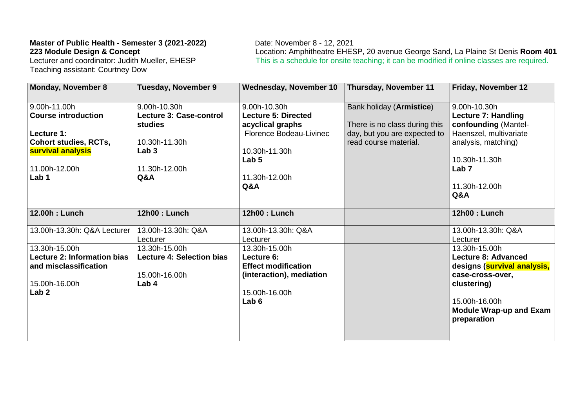## **Master of Public Health - Semester 3 (2021-2022)** Date: November 8 - 12, 2021<br>**223 Module Design & Concept** Location: Amphitheatre EHES

Teaching assistant: Courtney Dow

**223 Module Design & Concept Location: Amphitheatre EHESP, 20 avenue George Sand, La Plaine St Denis Room 401** Lecturer and coordinator: Judith Mueller, EHESP **This is a schedule for onsite teaching**; it can be modified This is a schedule for onsite teaching; it can be modified if online classes are required.

| <b>Monday, November 8</b>                                                                                  | <b>Tuesday, November 9</b>                                                  | <b>Wednesday, November 10</b>                                                                                              | Thursday, November 11                                                                     | Friday, November 12                                                                                                                                                             |
|------------------------------------------------------------------------------------------------------------|-----------------------------------------------------------------------------|----------------------------------------------------------------------------------------------------------------------------|-------------------------------------------------------------------------------------------|---------------------------------------------------------------------------------------------------------------------------------------------------------------------------------|
| 9.00h-11.00h<br><b>Course introduction</b><br>Lecture 1:                                                   | 9.00h-10.30h<br><b>Lecture 3: Case-control</b><br><b>studies</b>            | 9.00h-10.30h<br><b>Lecture 5: Directed</b><br>acyclical graphs<br>Florence Bodeau-Livinec                                  | Bank holiday (Armistice)<br>There is no class during this<br>day, but you are expected to | 9.00h-10.30h<br><b>Lecture 7: Handling</b><br>confounding (Mantel-<br>Haenszel, multivariate                                                                                    |
| <b>Cohort studies, RCTs,</b><br>survival analysis                                                          | 10.30h-11.30h<br>Lab <sub>3</sub>                                           | 10.30h-11.30h<br>Lab <sub>5</sub>                                                                                          | read course material.                                                                     | analysis, matching)<br>10.30h-11.30h<br>Lab <sub>7</sub>                                                                                                                        |
| 11.00h-12.00h<br>Lab 1                                                                                     | 11.30h-12.00h<br>Q&A                                                        | 11.30h-12.00h<br>Q&A                                                                                                       |                                                                                           | 11.30h-12.00h<br>Q&A                                                                                                                                                            |
| 12.00h : Lunch                                                                                             | 12h00: Lunch                                                                | 12h00 : Lunch                                                                                                              |                                                                                           | 12h00 : Lunch                                                                                                                                                                   |
| 13.00h-13.30h: Q&A Lecturer                                                                                | 13.00h-13.30h: Q&A<br>Lecturer                                              | 13.00h-13.30h: Q&A<br>Lecturer                                                                                             |                                                                                           | 13.00h-13.30h: Q&A<br>Lecturer                                                                                                                                                  |
| 13.30h-15.00h<br>Lecture 2: Information bias<br>and misclassification<br>15.00h-16.00h<br>Lab <sub>2</sub> | 13.30h-15.00h<br><b>Lecture 4: Selection bias</b><br>15.00h-16.00h<br>Lab 4 | 13.30h-15.00h<br>Lecture 6:<br><b>Effect modification</b><br>(interaction), mediation<br>15.00h-16.00h<br>Lab <sub>6</sub> |                                                                                           | 13.30h-15.00h<br><b>Lecture 8: Advanced</b><br>designs (survival analysis,<br>case-cross-over,<br>clustering)<br>15.00h-16.00h<br><b>Module Wrap-up and Exam</b><br>preparation |